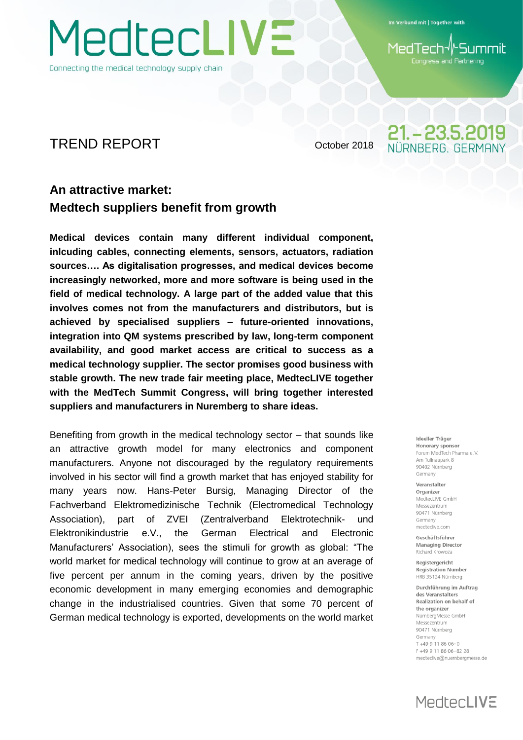Connecting the medical technology supply chain

Im Verbund mit | Together with

**Summil** 1edTech Congress and Partnering

21. - 23.5.2019 IÜRNBERG, GERMAN

## TREND REPORT October 2018

## **An attractive market: Medtech suppliers benefit from growth**

MedtecLIVE

**Medical devices contain many different individual component, inlcuding cables, connecting elements, sensors, actuators, radiation sources…. As digitalisation progresses, and medical devices become increasingly networked, more and more software is being used in the field of medical technology. A large part of the added value that this involves comes not from the manufacturers and distributors, but is achieved by specialised suppliers – future-oriented innovations, integration into QM systems prescribed by law, long-term component availability, and good market access are critical to success as a medical technology supplier. The sector promises good business with stable growth. The new trade fair meeting place, MedtecLIVE together with the MedTech Summit Congress, will bring together interested suppliers and manufacturers in Nuremberg to share ideas.**

Benefiting from growth in the medical technology sector – that sounds like an attractive growth model for many electronics and component manufacturers. Anyone not discouraged by the regulatory requirements involved in his sector will find a growth market that has enjoyed stability for many years now. Hans-Peter Bursig, Managing Director of the Fachverband Elektromedizinische Technik (Electromedical Technology Association), part of ZVEI (Zentralverband Elektrotechnik- und Elektronikindustrie e.V., the German Electrical and Electronic Manufacturers' Association), sees the stimuli for growth as global: "The world market for medical technology will continue to grow at an average of five percent per annum in the coming years, driven by the positive economic development in many emerging economies and demographic change in the industrialised countries. Given that some 70 percent of German medical technology is exported, developments on the world market

Ideeller Träger Honorary sponsor Forum MedTech Pharma e V Am Tullnaunark 8 90402 Nürnberg Germany

Veranstalter Organizer MedtecLIVE GmbH Messezentrum 90471 Nürnberg Germany medteclive.com

Geschäftsführer **Managing Director** Richard Krowoza

Registergericht **Registration Number** HRB 35124 Nürnberg

Durchführung im Auftrag des Veranstalters Realization on behalf of the organizer NürnbergMesse GmbH Messezentrum 90471 Nürnberg Germany T+49 9 11 86 06-0 F+49 9 11 86 06-82 28 medteclive@nuernbergmesse.de

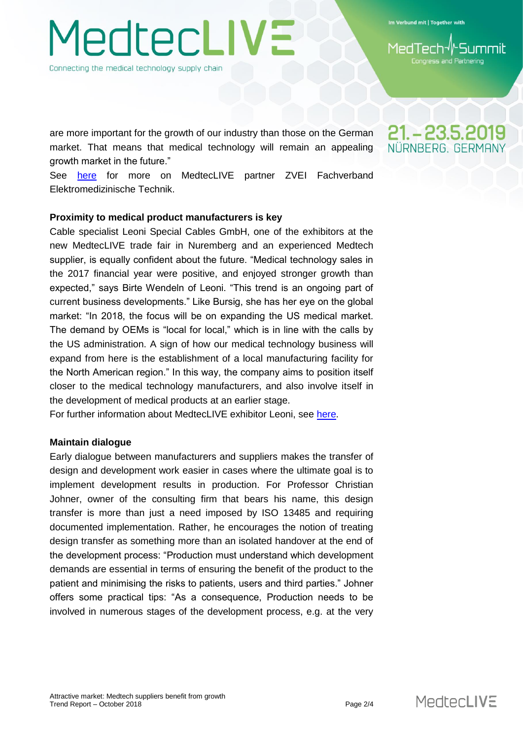Im Verbund mit | Together with

**iss and Partnering** 

21. - 23.5.2019 NÜRNBERG, GERMAI

are more important for the growth of our industry than those on the German

**TedtecLIVE** 

Connecting the medical technology supply chain

growth market in the future." See [here](https://www.zvei.org/verband/fachverbaende/fachverband-elektromedizinische-technik/) for more on MedtecLIVE partner ZVEI Fachverband Elektromedizinische Technik.

market. That means that medical technology will remain an appealing

#### **Proximity to medical product manufacturers is key**

Cable specialist Leoni Special Cables GmbH, one of the exhibitors at the new MedtecLIVE trade fair in Nuremberg and an experienced Medtech supplier, is equally confident about the future. "Medical technology sales in the 2017 financial year were positive, and enjoyed stronger growth than expected," says Birte Wendeln of Leoni. "This trend is an ongoing part of current business developments." Like Bursig, she has her eye on the global market: "In 2018, the focus will be on expanding the US medical market. The demand by OEMs is "local for local," which is in line with the calls by the US administration. A sign of how our medical technology business will expand from here is the establishment of a local manufacturing facility for the North American region." In this way, the company aims to position itself closer to the medical technology manufacturers, and also involve itself in the development of medical products at an earlier stage.

For further information about MedtecLIVE exhibitor Leoni, see [here.](https://www.leoni-healthcare.com/de/)

#### **Maintain dialogue**

Early dialogue between manufacturers and suppliers makes the transfer of design and development work easier in cases where the ultimate goal is to implement development results in production. For Professor Christian Johner, owner of the consulting firm that bears his name, this design transfer is more than just a need imposed by ISO 13485 and requiring documented implementation. Rather, he encourages the notion of treating design transfer as something more than an isolated handover at the end of the development process: "Production must understand which development demands are essential in terms of ensuring the benefit of the product to the patient and minimising the risks to patients, users and third parties." Johner offers some practical tips: "As a consequence, Production needs to be involved in numerous stages of the development process, e.g. at the very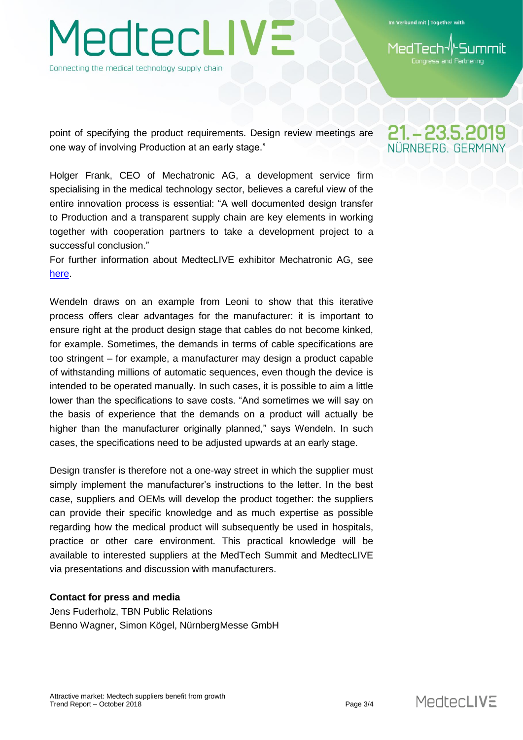**TedtecLIVE** Connecting the medical technology supply chain

Im Verbund mit | Together with

and Partnering

point of specifying the product requirements. Design review meetings are one way of involving Production at an early stage."

Holger Frank, CEO of Mechatronic AG, a development service firm specialising in the medical technology sector, believes a careful view of the entire innovation process is essential: "A well documented design transfer to Production and a transparent supply chain are key elements in working together with cooperation partners to take a development project to a successful conclusion."

For further information about MedtecLIVE exhibitor Mechatronic AG, see [here.](https://www.mechatronic.de/)

Wendeln draws on an example from Leoni to show that this iterative process offers clear advantages for the manufacturer: it is important to ensure right at the product design stage that cables do not become kinked, for example. Sometimes, the demands in terms of cable specifications are too stringent – for example, a manufacturer may design a product capable of withstanding millions of automatic sequences, even though the device is intended to be operated manually. In such cases, it is possible to aim a little lower than the specifications to save costs. "And sometimes we will say on the basis of experience that the demands on a product will actually be higher than the manufacturer originally planned," says Wendeln. In such cases, the specifications need to be adjusted upwards at an early stage.

Design transfer is therefore not a one-way street in which the supplier must simply implement the manufacturer's instructions to the letter. In the best case, suppliers and OEMs will develop the product together: the suppliers can provide their specific knowledge and as much expertise as possible regarding how the medical product will subsequently be used in hospitals, practice or other care environment. This practical knowledge will be available to interested suppliers at the MedTech Summit and MedtecLIVE via presentations and discussion with manufacturers.

#### **Contact for press and media**

Jens Fuderholz, TBN Public Relations Benno Wagner, Simon Kögel, NürnbergMesse GmbH

## 21. - 23.5.2019 NÜRNBERG, GERMAI